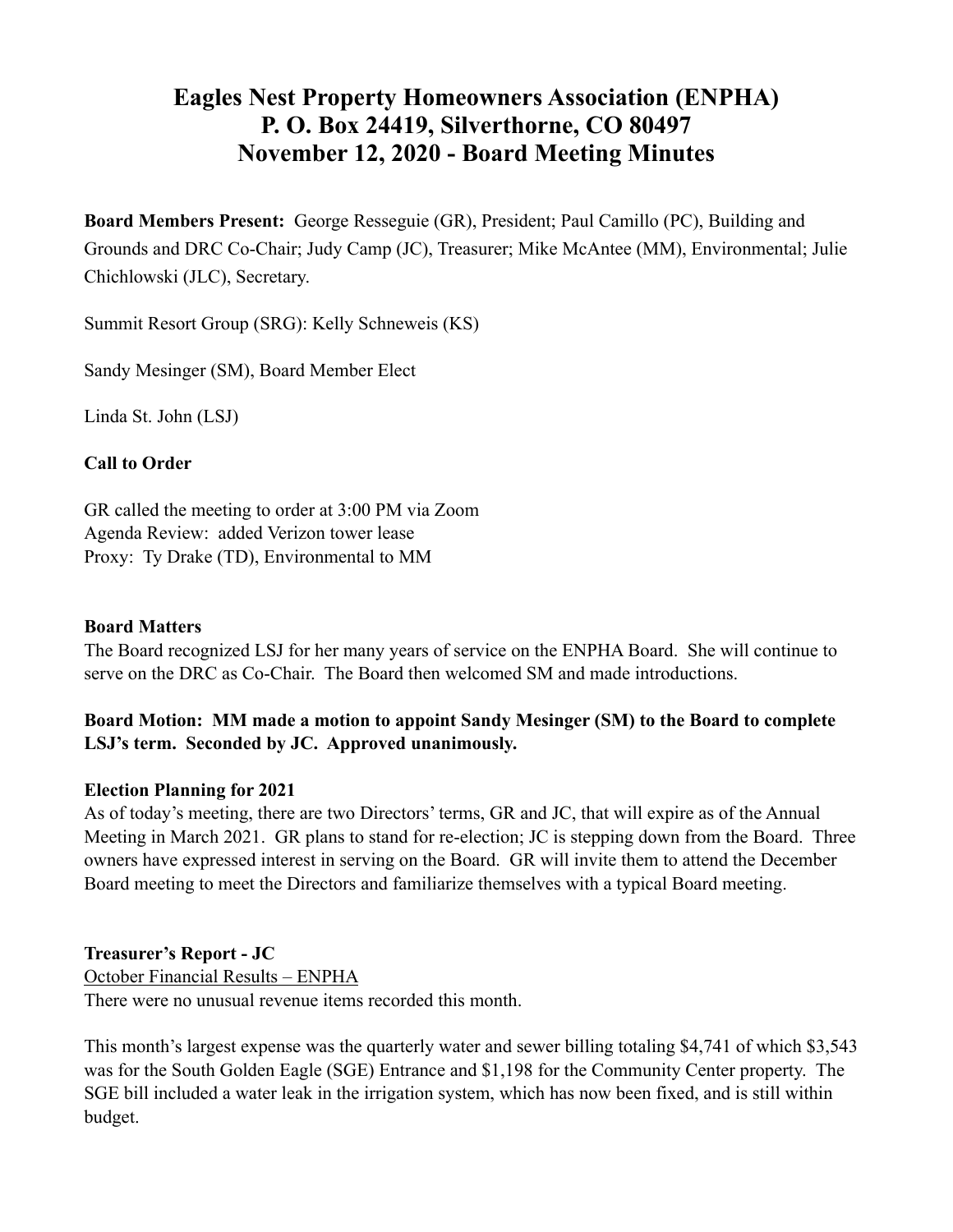# **Eagles Nest Property Homeowners Association (ENPHA) P. O. Box 24419, Silverthorne, CO 80497 November 12, 2020 - Board Meeting Minutes**

**Board Members Present:** George Resseguie (GR), President; Paul Camillo (PC), Building and Grounds and DRC Co-Chair; Judy Camp (JC), Treasurer; Mike McAntee (MM), Environmental; Julie Chichlowski (JLC), Secretary.

Summit Resort Group (SRG): Kelly Schneweis (KS)

Sandy Mesinger (SM), Board Member Elect

Linda St. John (LSJ)

## **Call to Order**

GR called the meeting to order at 3:00 PM via Zoom Agenda Review: added Verizon tower lease Proxy: Ty Drake (TD), Environmental to MM

#### **Board Matters**

The Board recognized LSJ for her many years of service on the ENPHA Board. She will continue to serve on the DRC as Co-Chair. The Board then welcomed SM and made introductions.

# **Board Motion: MM made a motion to appoint Sandy Mesinger (SM) to the Board to complete LSJ's term. Seconded by JC. Approved unanimously.**

#### **Election Planning for 2021**

As of today's meeting, there are two Directors' terms, GR and JC, that will expire as of the Annual Meeting in March 2021. GR plans to stand for re-election; JC is stepping down from the Board. Three owners have expressed interest in serving on the Board. GR will invite them to attend the December Board meeting to meet the Directors and familiarize themselves with a typical Board meeting.

#### **Treasurer's Report - JC**

October Financial Results – ENPHA There were no unusual revenue items recorded this month.

This month's largest expense was the quarterly water and sewer billing totaling \$4,741 of which \$3,543 was for the South Golden Eagle (SGE) Entrance and \$1,198 for the Community Center property. The SGE bill included a water leak in the irrigation system, which has now been fixed, and is still within budget.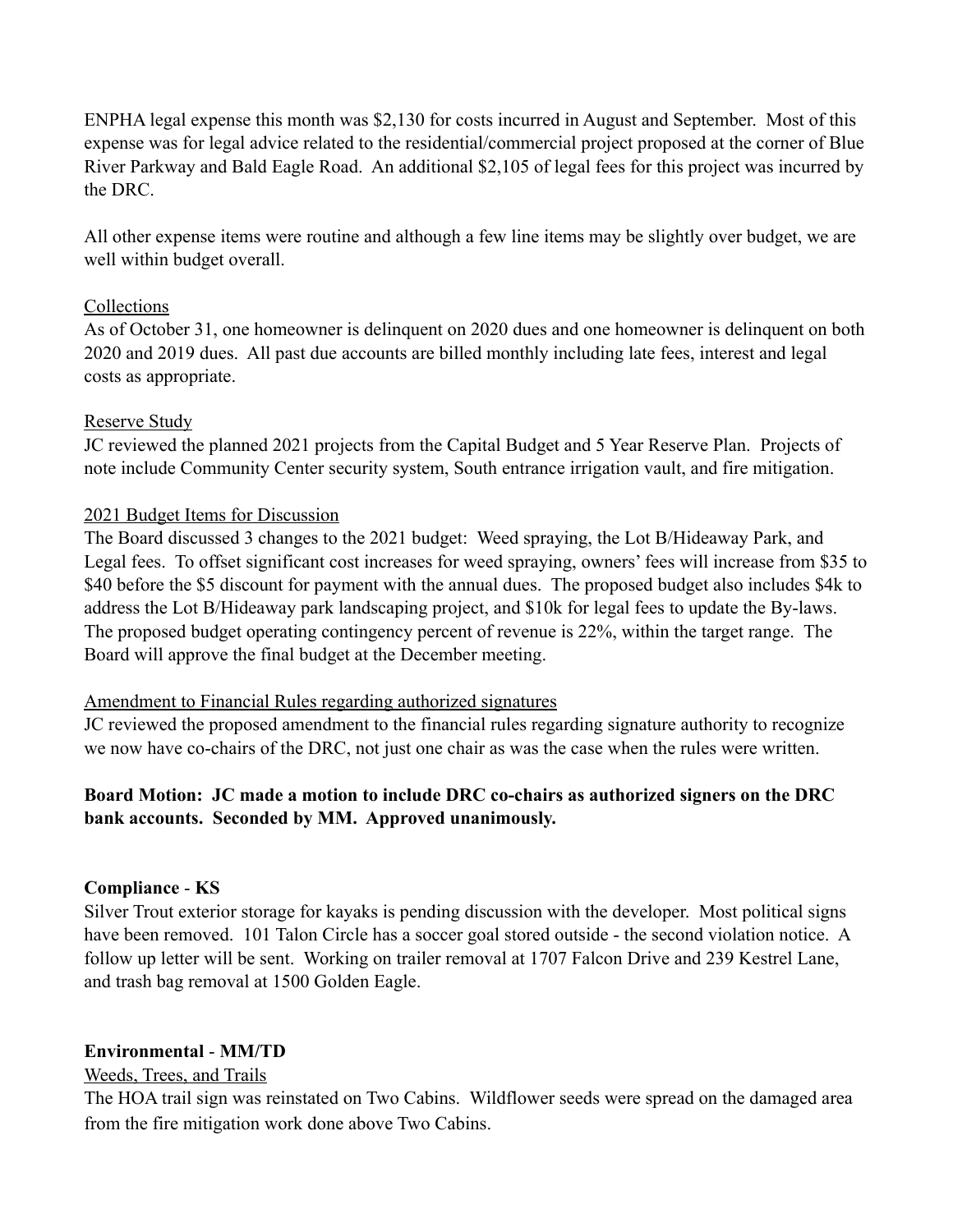ENPHA legal expense this month was \$2,130 for costs incurred in August and September. Most of this expense was for legal advice related to the residential/commercial project proposed at the corner of Blue River Parkway and Bald Eagle Road. An additional \$2,105 of legal fees for this project was incurred by the DRC.

All other expense items were routine and although a few line items may be slightly over budget, we are well within budget overall.

## Collections

As of October 31, one homeowner is delinquent on 2020 dues and one homeowner is delinquent on both 2020 and 2019 dues. All past due accounts are billed monthly including late fees, interest and legal costs as appropriate.

# Reserve Study

JC reviewed the planned 2021 projects from the Capital Budget and 5 Year Reserve Plan. Projects of note include Community Center security system, South entrance irrigation vault, and fire mitigation.

# 2021 Budget Items for Discussion

The Board discussed 3 changes to the 2021 budget: Weed spraying, the Lot B/Hideaway Park, and Legal fees. To offset significant cost increases for weed spraying, owners' fees will increase from \$35 to \$40 before the \$5 discount for payment with the annual dues. The proposed budget also includes \$4k to address the Lot B/Hideaway park landscaping project, and \$10k for legal fees to update the By-laws. The proposed budget operating contingency percent of revenue is 22%, within the target range. The Board will approve the final budget at the December meeting.

## Amendment to Financial Rules regarding authorized signatures

JC reviewed the proposed amendment to the financial rules regarding signature authority to recognize we now have co-chairs of the DRC, not just one chair as was the case when the rules were written.

# **Board Motion: JC made a motion to include DRC co-chairs as authorized signers on the DRC bank accounts. Seconded by MM. Approved unanimously.**

# **Compliance** - **KS**

Silver Trout exterior storage for kayaks is pending discussion with the developer. Most political signs have been removed. 101 Talon Circle has a soccer goal stored outside - the second violation notice. A follow up letter will be sent. Working on trailer removal at 1707 Falcon Drive and 239 Kestrel Lane, and trash bag removal at 1500 Golden Eagle.

## **Environmental** - **MM/TD**

## Weeds, Trees, and Trails

The HOA trail sign was reinstated on Two Cabins. Wildflower seeds were spread on the damaged area from the fire mitigation work done above Two Cabins.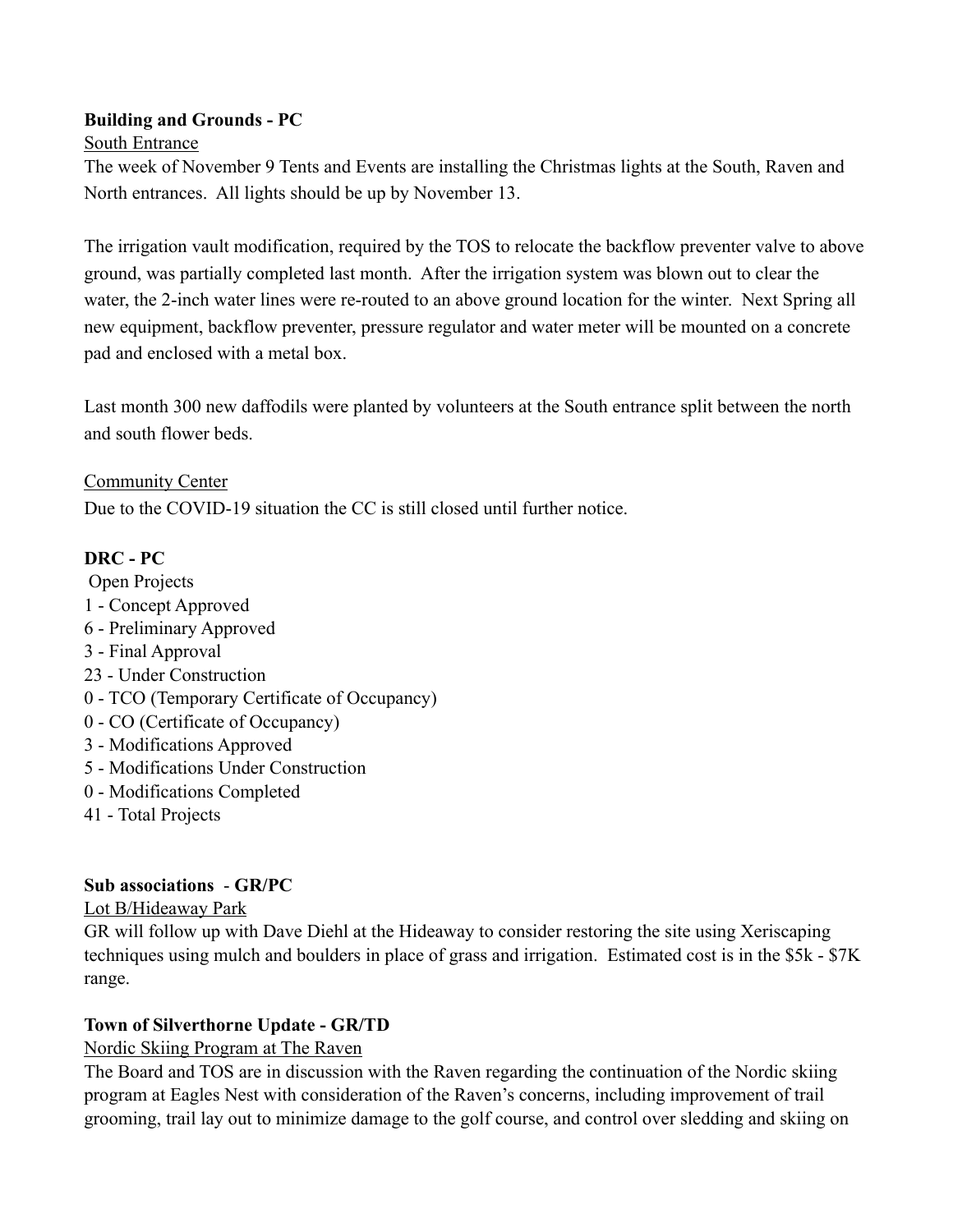# **Building and Grounds - PC**

#### South Entrance

The week of November 9 Tents and Events are installing the Christmas lights at the South, Raven and North entrances. All lights should be up by November 13.

The irrigation vault modification, required by the TOS to relocate the backflow preventer valve to above ground, was partially completed last month. After the irrigation system was blown out to clear the water, the 2-inch water lines were re-routed to an above ground location for the winter. Next Spring all new equipment, backflow preventer, pressure regulator and water meter will be mounted on a concrete pad and enclosed with a metal box.

Last month 300 new daffodils were planted by volunteers at the South entrance split between the north and south flower beds.

Community Center Due to the COVID-19 situation the CC is still closed until further notice.

# **DRC - PC**

 Open Projects 1 - Concept Approved 6 - Preliminary Approved 3 - Final Approval 23 - Under Construction 0 - TCO (Temporary Certificate of Occupancy) 0 - CO (Certificate of Occupancy) 3 - Modifications Approved 5 - Modifications Under Construction 0 - Modifications Completed 41 - Total Projects

## **Sub associations** - **GR/PC**

## Lot B/Hideaway Park

GR will follow up with Dave Diehl at the Hideaway to consider restoring the site using Xeriscaping techniques using mulch and boulders in place of grass and irrigation. Estimated cost is in the \$5k - \$7K range.

## **Town of Silverthorne Update - GR/TD**

## Nordic Skiing Program at The Raven

The Board and TOS are in discussion with the Raven regarding the continuation of the Nordic skiing program at Eagles Nest with consideration of the Raven's concerns, including improvement of trail grooming, trail lay out to minimize damage to the golf course, and control over sledding and skiing on